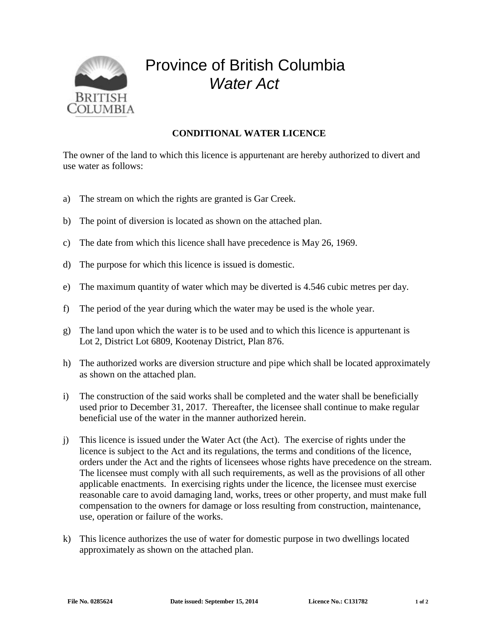

## Province of British Columbia *Water Act*

## **CONDITIONAL WATER LICENCE**

The owner of the land to which this licence is appurtenant are hereby authorized to divert and use water as follows:

- a) The stream on which the rights are granted is Gar Creek.
- b) The point of diversion is located as shown on the attached plan.
- c) The date from which this licence shall have precedence is May 26, 1969.
- d) The purpose for which this licence is issued is domestic.
- e) The maximum quantity of water which may be diverted is 4.546 cubic metres per day.
- f) The period of the year during which the water may be used is the whole year.
- g) The land upon which the water is to be used and to which this licence is appurtenant is Lot 2, District Lot 6809, Kootenay District, Plan 876.
- h) The authorized works are diversion structure and pipe which shall be located approximately as shown on the attached plan.
- i) The construction of the said works shall be completed and the water shall be beneficially used prior to December 31, 2017. Thereafter, the licensee shall continue to make regular beneficial use of the water in the manner authorized herein.
- j) This licence is issued under the Water Act (the Act). The exercise of rights under the licence is subject to the Act and its regulations, the terms and conditions of the licence, orders under the Act and the rights of licensees whose rights have precedence on the stream. The licensee must comply with all such requirements, as well as the provisions of all other applicable enactments. In exercising rights under the licence, the licensee must exercise reasonable care to avoid damaging land, works, trees or other property, and must make full compensation to the owners for damage or loss resulting from construction, maintenance, use, operation or failure of the works.
- k) This licence authorizes the use of water for domestic purpose in two dwellings located approximately as shown on the attached plan.